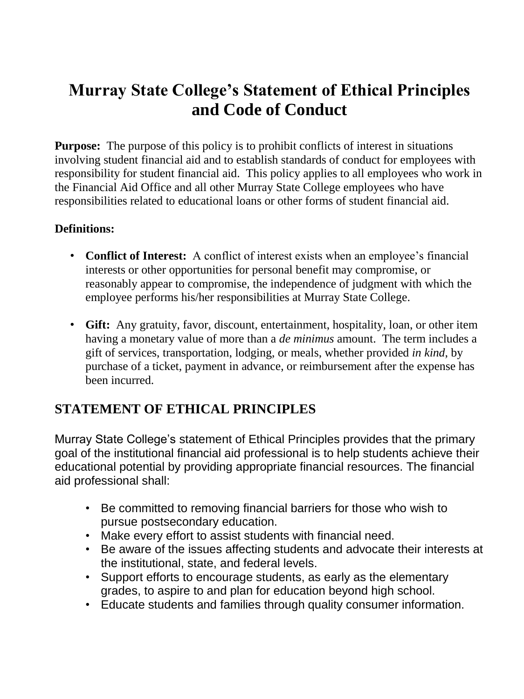## **Murray State College's Statement of Ethical Principles and Code of Conduct**

**Purpose:** The purpose of this policy is to prohibit conflicts of interest in situations involving student financial aid and to establish standards of conduct for employees with responsibility for student financial aid. This policy applies to all employees who work in the Financial Aid Office and all other Murray State College employees who have responsibilities related to educational loans or other forms of student financial aid.

## **Definitions:**

- **Conflict of Interest:** A conflict of interest exists when an employee's financial interests or other opportunities for personal benefit may compromise, or reasonably appear to compromise, the independence of judgment with which the employee performs his/her responsibilities at Murray State College.
- **Gift:** Any gratuity, favor, discount, entertainment, hospitality, loan, or other item having a monetary value of more than a *de minimus* amount. The term includes a gift of services, transportation, lodging, or meals, whether provided *in kind*, by purchase of a ticket, payment in advance, or reimbursement after the expense has been incurred.

## **STATEMENT OF ETHICAL PRINCIPLES**

Murray State College's statement of Ethical Principles provides that the primary goal of the institutional financial aid professional is to help students achieve their educational potential by providing appropriate financial resources. The financial aid professional shall:

- Be committed to removing financial barriers for those who wish to pursue postsecondary education.
- Make every effort to assist students with financial need.
- Be aware of the issues affecting students and advocate their interests at the institutional, state, and federal levels.
- Support efforts to encourage students, as early as the elementary grades, to aspire to and plan for education beyond high school.
- Educate students and families through quality consumer information.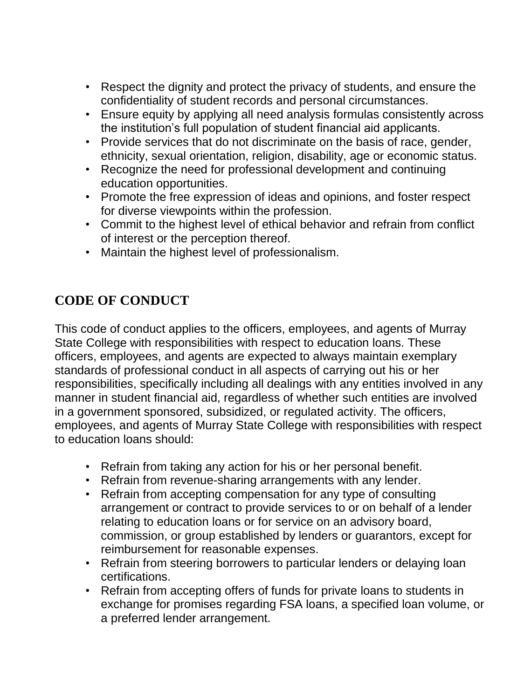- Respect the dignity and protect the privacy of students, and ensure the confidentiality of student records and personal circumstances.
- Ensure equity by applying all need analysis formulas consistently across the institution's full population of student financial aid applicants.
- Provide services that do not discriminate on the basis of race, gender, ethnicity, sexual orientation, religion, disability, age or economic status.
- Recognize the need for professional development and continuing education opportunities.
- Promote the free expression of ideas and opinions, and foster respect for diverse viewpoints within the profession.
- Commit to the highest level of ethical behavior and refrain from conflict of interest or the perception thereof.
- Maintain the highest level of professionalism.

## **CODE OF CONDUCT**

This code of conduct applies to the officers, employees, and agents of Murray State College with responsibilities with respect to education loans. These officers, employees, and agents are expected to always maintain exemplary standards of professional conduct in all aspects of carrying out his or her responsibilities, specifically including all dealings with any entities involved in any manner in student financial aid, regardless of whether such entities are involved in a government sponsored, subsidized, or regulated activity. The officers, employees, and agents of Murray State College with responsibilities with respect to education loans should:

- Refrain from taking any action for his or her personal benefit.
- Refrain from revenue-sharing arrangements with any lender.
- Refrain from accepting compensation for any type of consulting arrangement or contract to provide services to or on behalf of a lender relating to education loans or for service on an advisory board, commission, or group established by lenders or guarantors, except for reimbursement for reasonable expenses.
- Refrain from steering borrowers to particular lenders or delaying loan certifications.
- Refrain from accepting offers of funds for private loans to students in exchange for promises regarding FSA loans, a specified loan volume, or a preferred lender arrangement.